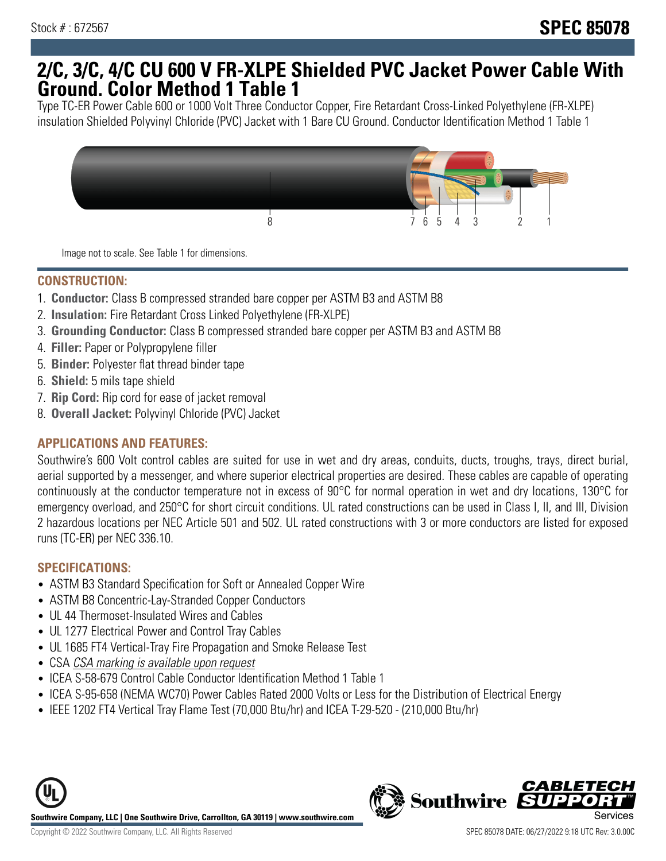## **2/C, 3/C, 4/C CU 600 V FR-XLPE Shielded PVC Jacket Power Cable With Ground. Color Method 1 Table 1**

Type TC-ER Power Cable 600 or 1000 Volt Three Conductor Copper, Fire Retardant Cross-Linked Polyethylene (FR-XLPE) insulation Shielded Polyvinyl Chloride (PVC) Jacket with 1 Bare CU Ground. Conductor Identification Method 1 Table 1



Image not to scale. See Table 1 for dimensions.

#### **CONSTRUCTION:**

- 1. **Conductor:** Class B compressed stranded bare copper per ASTM B3 and ASTM B8
- 2. **Insulation:** Fire Retardant Cross Linked Polyethylene (FR-XLPE)
- 3. **Grounding Conductor:** Class B compressed stranded bare copper per ASTM B3 and ASTM B8
- 4. **Filler:** Paper or Polypropylene filler
- 5. **Binder:** Polyester flat thread binder tape
- 6. **Shield:** 5 mils tape shield
- 7. **Rip Cord:** Rip cord for ease of jacket removal
- 8. **Overall Jacket:** Polyvinyl Chloride (PVC) Jacket

#### **APPLICATIONS AND FEATURES:**

Southwire's 600 Volt control cables are suited for use in wet and dry areas, conduits, ducts, troughs, trays, direct burial, aerial supported by a messenger, and where superior electrical properties are desired. These cables are capable of operating continuously at the conductor temperature not in excess of 90°C for normal operation in wet and dry locations, 130°C for emergency overload, and 250°C for short circuit conditions. UL rated constructions can be used in Class I, II, and III, Division 2 hazardous locations per NEC Article 501 and 502. UL rated constructions with 3 or more conductors are listed for exposed runs (TC-ER) per NEC 336.10.

#### **SPECIFICATIONS:**

- ASTM B3 Standard Specification for Soft or Annealed Copper Wire
- ASTM B8 Concentric-Lay-Stranded Copper Conductors
- UL 44 Thermoset-Insulated Wires and Cables
- UL 1277 Electrical Power and Control Tray Cables
- UL 1685 FT4 Vertical-Tray Fire Propagation and Smoke Release Test
- CSA CSA marking is available upon request
- ICEA S-58-679 Control Cable Conductor Identification Method 1 Table 1
- ICEA S-95-658 (NEMA WC70) Power Cables Rated 2000 Volts or Less for the Distribution of Electrical Energy
- IEEE 1202 FT4 Vertical Tray Flame Test (70,000 Btu/hr) and ICEA T-29-520 (210,000 Btu/hr)



**Southwire** 

*CABLET*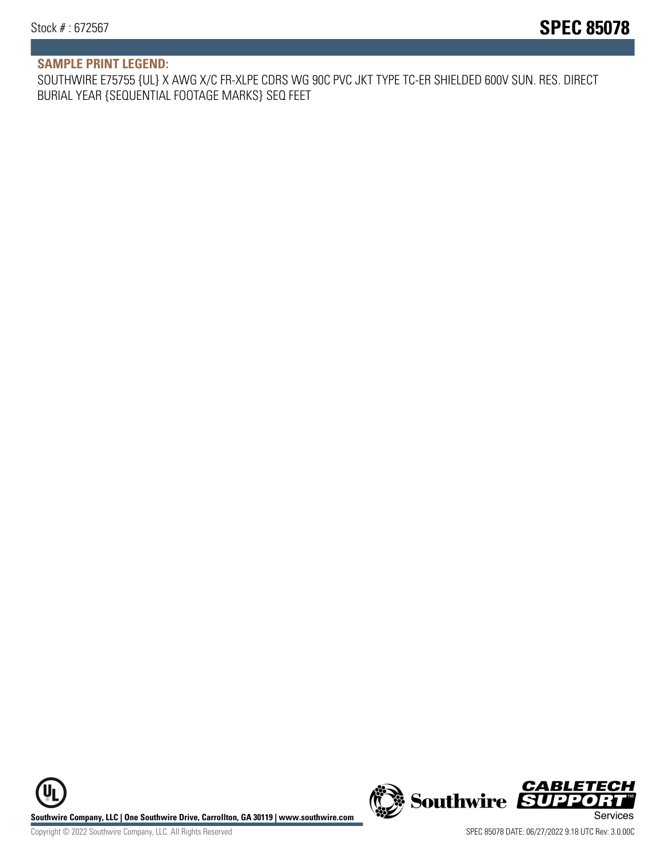### **SAMPLE PRINT LEGEND:**

SOUTHWIRE E75755 {UL} X AWG X/C FR-XLPE CDRS WG 90C PVC JKT TYPE TC-ER SHIELDED 600V SUN. RES. DIRECT BURIAL YEAR {SEQUENTIAL FOOTAGE MARKS} SEQ FEET

**U Southwire Company, LLC | One Southwire Drive, Carrollton, GA 30119 | www.southwire.com (New Southwire SUPPORTI**